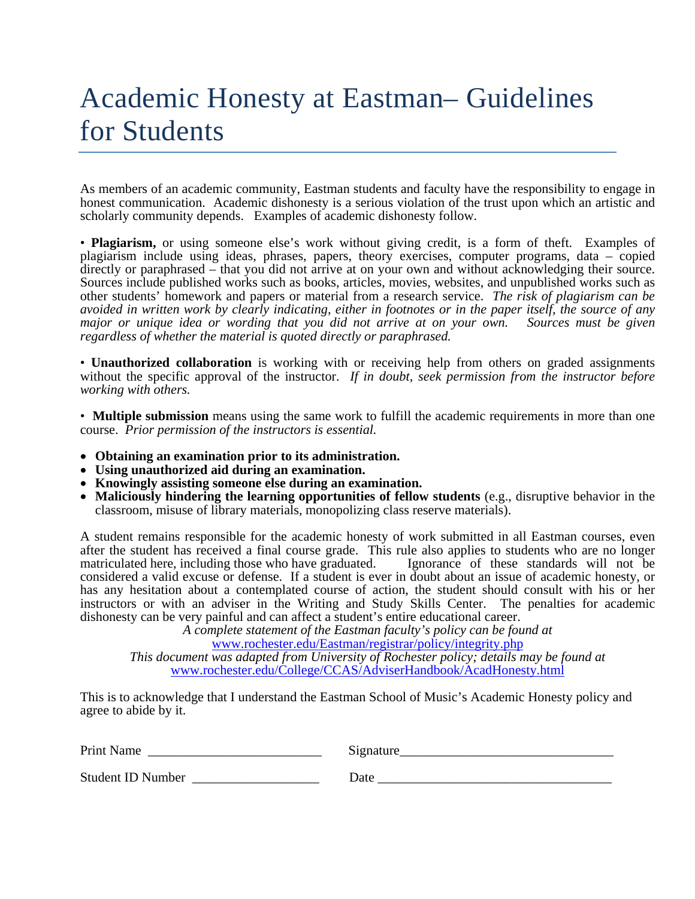# Academic Honesty at Eastman– Guidelines for Students

As members of an academic community, Eastman students and faculty have the responsibility to engage in honest communication. Academic dishonesty is a serious violation of the trust upon which an artistic and scholarly community depends. Examples of academic dishonesty follow.

• **Plagiarism,** or using someone else's work without giving credit, is a form of theft. Examples of plagiarism include using ideas, phrases, papers, theory exercises, computer programs, data – copied directly or paraphrased – that you did not arrive at on your own and without acknowledging their source. Sources include published works such as books, articles, movies, websites, and unpublished works such as other students' homework and papers or material from a research service. *The risk of plagiarism can be avoided in written work by clearly indicating, either in footnotes or in the paper itself, the source of any major or unique idea or wording that you did not arrive at on your own. Sources must be given regardless of whether the material is quoted directly or paraphrased.* 

• **Unauthorized collaboration** is working with or receiving help from others on graded assignments without the specific approval of the instructor. *If in doubt, seek permission from the instructor before working with others.*

• **Multiple submission** means using the same work to fulfill the academic requirements in more than one course. *Prior permission of the instructors is essential.*

- **Obtaining an examination prior to its administration.**
- **Using unauthorized aid during an examination.**
- **Knowingly assisting someone else during an examination.**
- **Maliciously hindering the learning opportunities of fellow students** (e.g., disruptive behavior in the classroom, misuse of library materials, monopolizing class reserve materials).

A student remains responsible for the academic honesty of work submitted in all Eastman courses, even after the student has received a final course grade. This rule also applies to students who are no longer matriculated here, including those who have graduated. Ignorance of these standards will not be considered a valid excuse or defense. If a student is ever in doubt about an issue of academic honesty, or has any hesitation about a contemplated course of action, the student should consult with his or her instructors or with an adviser in the Writing and Study Skills Center. The penalties for academic dishonesty can be very painful and can affect a student's entire educational career.

*A complete statement of the Eastman faculty's policy can be found at*  [www.rochester.edu/Eastman/registrar/policy/integrity.php](http://www.rochester.edu/Eastman/registrar/policy/integrity.php) *This document was adapted from University of Rochester policy; details may be found at*  [www.rochester.edu/College/CCAS/AdviserHandbook/AcadHonesty.html](http://www.rochester.edu/College/CCAS/AdviserHandbook/AcadHonesty.html)

This is to acknowledge that I understand the Eastman School of Music's Academic Honesty policy and agree to abide by it.

Print Name \_\_\_\_\_\_\_\_\_\_\_\_\_\_\_\_\_\_\_\_\_\_\_\_\_\_ Signature\_\_\_\_\_\_\_\_\_\_\_\_\_\_\_\_\_\_\_\_\_\_\_\_\_\_\_\_\_\_\_\_

Student ID Number \_\_\_\_\_\_\_\_\_\_\_\_\_\_\_\_\_\_\_ Date \_\_\_\_\_\_\_\_\_\_\_\_\_\_\_\_\_\_\_\_\_\_\_\_\_\_\_\_\_\_\_\_\_\_\_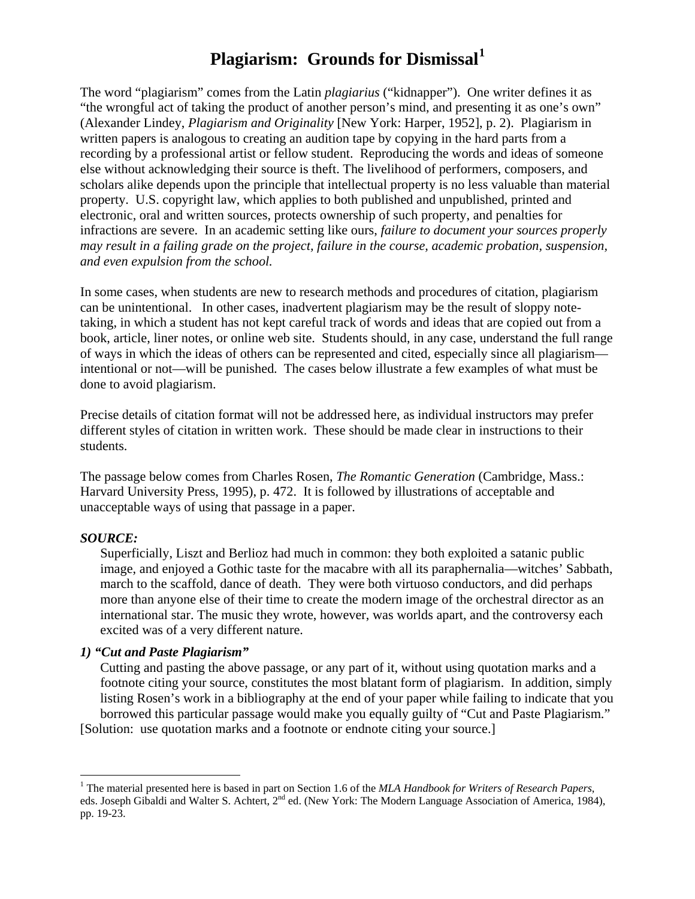### **Plagiarism: Grounds for Dismissal[1](#page-1-0)**

The word "plagiarism" comes from the Latin *plagiarius* ("kidnapper"). One writer defines it as "the wrongful act of taking the product of another person's mind, and presenting it as one's own" (Alexander Lindey, *Plagiarism and Originality* [New York: Harper, 1952], p. 2). Plagiarism in written papers is analogous to creating an audition tape by copying in the hard parts from a recording by a professional artist or fellow student. Reproducing the words and ideas of someone else without acknowledging their source is theft. The livelihood of performers, composers, and scholars alike depends upon the principle that intellectual property is no less valuable than material property. U.S. copyright law, which applies to both published and unpublished, printed and electronic, oral and written sources, protects ownership of such property, and penalties for infractions are severe. In an academic setting like ours, *failure to document your sources properly may result in a failing grade on the project, failure in the course, academic probation, suspension, and even expulsion from the school.*

In some cases, when students are new to research methods and procedures of citation, plagiarism can be unintentional. In other cases, inadvertent plagiarism may be the result of sloppy notetaking, in which a student has not kept careful track of words and ideas that are copied out from a book, article, liner notes, or online web site. Students should, in any case, understand the full range of ways in which the ideas of others can be represented and cited, especially since all plagiarism intentional or not—will be punished. The cases below illustrate a few examples of what must be done to avoid plagiarism.

Precise details of citation format will not be addressed here, as individual instructors may prefer different styles of citation in written work. These should be made clear in instructions to their students.

The passage below comes from Charles Rosen, *The Romantic Generation* (Cambridge, Mass.: Harvard University Press, 1995), p. 472. It is followed by illustrations of acceptable and unacceptable ways of using that passage in a paper.

#### *SOURCE:*

 $\overline{a}$ 

Superficially, Liszt and Berlioz had much in common: they both exploited a satanic public image, and enjoyed a Gothic taste for the macabre with all its paraphernalia—witches' Sabbath, march to the scaffold, dance of death. They were both virtuoso conductors, and did perhaps more than anyone else of their time to create the modern image of the orchestral director as an international star. The music they wrote, however, was worlds apart, and the controversy each excited was of a very different nature.

#### *1) "Cut and Paste Plagiarism"*

Cutting and pasting the above passage, or any part of it, without using quotation marks and a footnote citing your source, constitutes the most blatant form of plagiarism. In addition, simply listing Rosen's work in a bibliography at the end of your paper while failing to indicate that you borrowed this particular passage would make you equally guilty of "Cut and Paste Plagiarism." [Solution: use quotation marks and a footnote or endnote citing your source.]

<span id="page-1-0"></span><sup>&</sup>lt;sup>1</sup> The material presented here is based in part on Section 1.6 of the *MLA Handbook for Writers of Research Papers*, eds. Joseph Gibaldi and Walter S. Achtert, 2<sup>nd</sup> ed. (New York: The Modern Language Association of America, 1984), pp. 19-23.